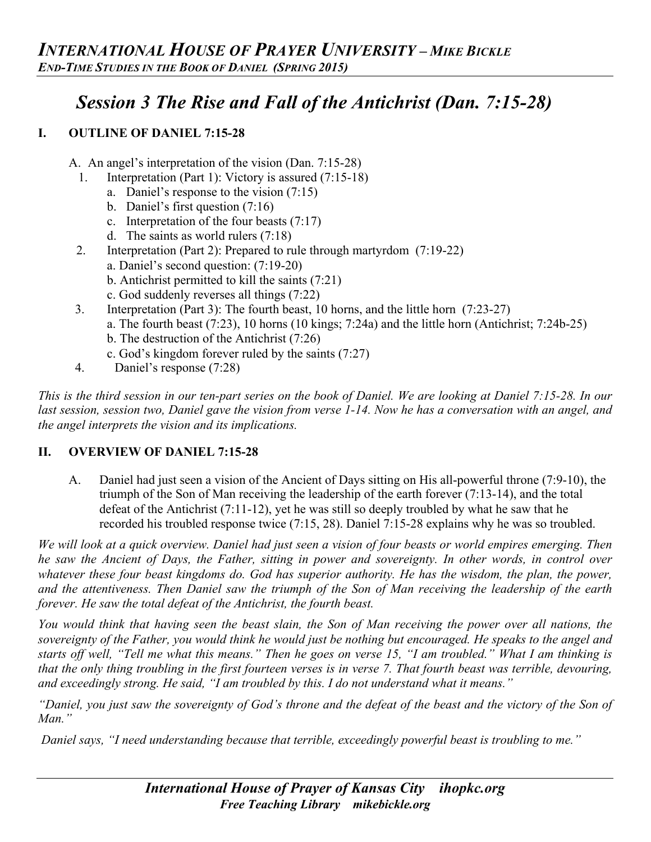# *Session 3 The Rise and Fall of the Antichrist (Dan. 7:15-28)*

#### **I. OUTLINE OF DANIEL 7:15-28**

- A. An angel's interpretation of the vision (Dan. 7:15-28)
	- 1. Interpretation (Part 1): Victory is assured (7:15-18)
		- a. Daniel's response to the vision (7:15)
		- b. Daniel's first question (7:16)
		- c. Interpretation of the four beasts (7:17)
		- d. The saints as world rulers (7:18)
	- 2. Interpretation (Part 2): Prepared to rule through martyrdom (7:19-22)
		- a. Daniel's second question: (7:19-20)
		- b. Antichrist permitted to kill the saints (7:21)
		- c. God suddenly reverses all things (7:22)
- 3. Interpretation (Part 3): The fourth beast, 10 horns, and the little horn (7:23-27)
	- a. The fourth beast (7:23), 10 horns (10 kings; 7:24a) and the little horn (Antichrist; 7:24b-25)
	- b. The destruction of the Antichrist (7:26)
	- c. God's kingdom forever ruled by the saints (7:27)
- 4. Daniel's response (7:28)

*This is the third session in our ten-part series on the book of Daniel. We are looking at Daniel 7:15-28. In our last session, session two, Daniel gave the vision from verse 1-14. Now he has a conversation with an angel, and the angel interprets the vision and its implications.*

#### **II. OVERVIEW OF DANIEL 7:15-28**

A. Daniel had just seen a vision of the Ancient of Days sitting on His all-powerful throne (7:9-10), the triumph of the Son of Man receiving the leadership of the earth forever (7:13-14), and the total defeat of the Antichrist (7:11-12), yet he was still so deeply troubled by what he saw that he recorded his troubled response twice (7:15, 28). Daniel 7:15-28 explains why he was so troubled.

*We will look at a quick overview. Daniel had just seen a vision of four beasts or world empires emerging. Then he saw the Ancient of Days, the Father, sitting in power and sovereignty. In other words, in control over*  whatever these four beast kingdoms do. God has superior authority. He has the wisdom, the plan, the power, *and the attentiveness. Then Daniel saw the triumph of the Son of Man receiving the leadership of the earth forever. He saw the total defeat of the Antichrist, the fourth beast.*

*You would think that having seen the beast slain, the Son of Man receiving the power over all nations, the sovereignty of the Father, you would think he would just be nothing but encouraged. He speaks to the angel and starts off well, "Tell me what this means." Then he goes on verse 15, "I am troubled." What I am thinking is that the only thing troubling in the first fourteen verses is in verse 7. That fourth beast was terrible, devouring, and exceedingly strong. He said, "I am troubled by this. I do not understand what it means."*

*"Daniel, you just saw the sovereignty of God's throne and the defeat of the beast and the victory of the Son of Man."*

*Daniel says, "I need understanding because that terrible, exceedingly powerful beast is troubling to me."*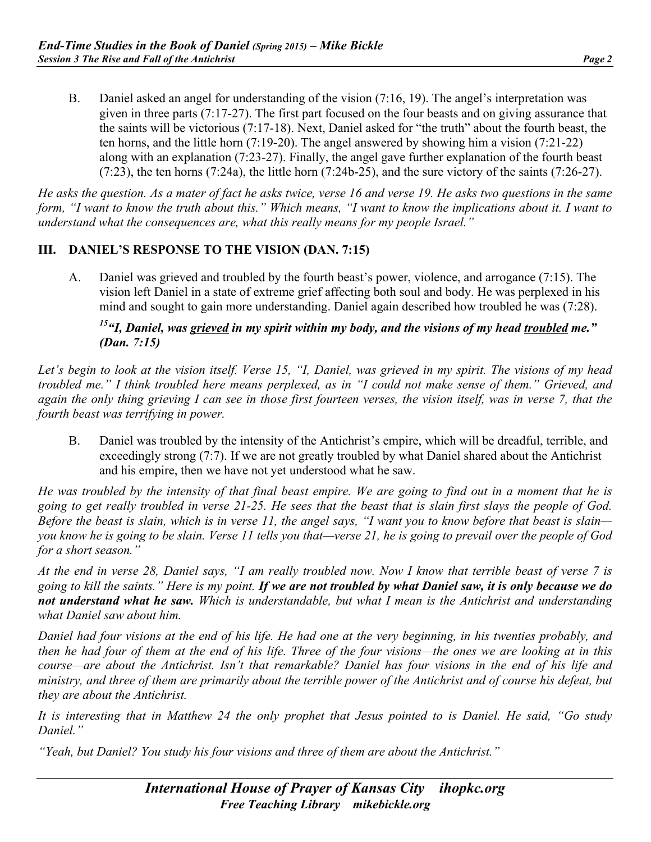B. Daniel asked an angel for understanding of the vision (7:16, 19). The angel's interpretation was given in three parts (7:17-27). The first part focused on the four beasts and on giving assurance that the saints will be victorious (7:17-18). Next, Daniel asked for "the truth" about the fourth beast, the ten horns, and the little horn (7:19-20). The angel answered by showing him a vision (7:21-22) along with an explanation (7:23-27). Finally, the angel gave further explanation of the fourth beast (7:23), the ten horns (7:24a), the little horn (7:24b-25), and the sure victory of the saints (7:26-27).

*He asks the question. As a mater of fact he asks twice, verse 16 and verse 19. He asks two questions in the same*  form, "I want to know the truth about this." Which means, "I want to know the implications about it. I want to *understand what the consequences are, what this really means for my people Israel."*

#### **III. DANIEL'S RESPONSE TO THE VISION (DAN. 7:15)**

A. Daniel was grieved and troubled by the fourth beast's power, violence, and arrogance (7:15). The vision left Daniel in a state of extreme grief affecting both soul and body. He was perplexed in his mind and sought to gain more understanding. Daniel again described how troubled he was (7:28).

#### *15"I, Daniel, was grieved in my spirit within my body, and the visions of my head troubled me." (Dan. 7:15)*

*Let's begin to look at the vision itself. Verse 15, "I, Daniel, was grieved in my spirit. The visions of my head troubled me." I think troubled here means perplexed, as in "I could not make sense of them." Grieved, and again the only thing grieving I can see in those first fourteen verses, the vision itself, was in verse 7, that the fourth beast was terrifying in power.*

B. Daniel was troubled by the intensity of the Antichrist's empire, which will be dreadful, terrible, and exceedingly strong (7:7). If we are not greatly troubled by what Daniel shared about the Antichrist and his empire, then we have not yet understood what he saw.

*He was troubled by the intensity of that final beast empire. We are going to find out in a moment that he is going to get really troubled in verse 21-25. He sees that the beast that is slain first slays the people of God. Before the beast is slain, which is in verse 11, the angel says, "I want you to know before that beast is slain you know he is going to be slain. Verse 11 tells you that—verse 21, he is going to prevail over the people of God for a short season."*

*At the end in verse 28, Daniel says, "I am really troubled now. Now I know that terrible beast of verse 7 is going to kill the saints." Here is my point. If we are not troubled by what Daniel saw, it is only because we do not understand what he saw. Which is understandable, but what I mean is the Antichrist and understanding what Daniel saw about him.*

*Daniel had four visions at the end of his life. He had one at the very beginning, in his twenties probably, and then he had four of them at the end of his life. Three of the four visions—the ones we are looking at in this course—are about the Antichrist. Isn't that remarkable? Daniel has four visions in the end of his life and ministry, and three of them are primarily about the terrible power of the Antichrist and of course his defeat, but they are about the Antichrist.* 

*It is interesting that in Matthew 24 the only prophet that Jesus pointed to is Daniel. He said, "Go study Daniel."* 

*"Yeah, but Daniel? You study his four visions and three of them are about the Antichrist."*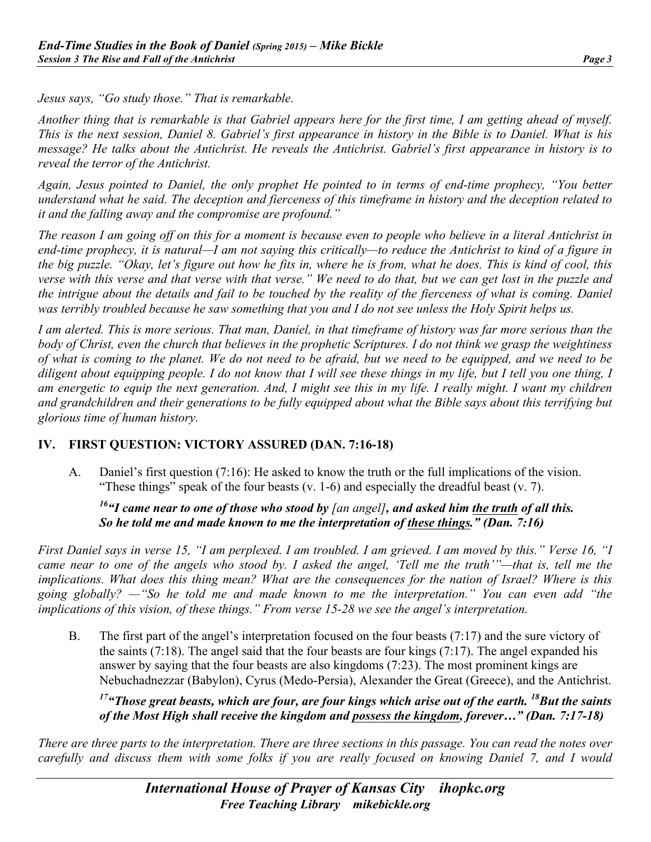*Jesus says, "Go study those." That is remarkable.*

*Another thing that is remarkable is that Gabriel appears here for the first time, I am getting ahead of myself. This is the next session, Daniel 8. Gabriel's first appearance in history in the Bible is to Daniel. What is his message? He talks about the Antichrist. He reveals the Antichrist. Gabriel's first appearance in history is to reveal the terror of the Antichrist.*

*Again, Jesus pointed to Daniel, the only prophet He pointed to in terms of end-time prophecy, "You better understand what he said. The deception and fierceness of this timeframe in history and the deception related to it and the falling away and the compromise are profound."*

*The reason I am going off on this for a moment is because even to people who believe in a literal Antichrist in end-time prophecy, it is natural—I am not saying this critically—to reduce the Antichrist to kind of a figure in the big puzzle. "Okay, let's figure out how he fits in, where he is from, what he does. This is kind of cool, this verse with this verse and that verse with that verse." We need to do that, but we can get lost in the puzzle and the intrigue about the details and fail to be touched by the reality of the fierceness of what is coming. Daniel was terribly troubled because he saw something that you and I do not see unless the Holy Spirit helps us.*

*I am alerted. This is more serious. That man, Daniel, in that timeframe of history was far more serious than the body of Christ, even the church that believes in the prophetic Scriptures. I do not think we grasp the weightiness of what is coming to the planet. We do not need to be afraid, but we need to be equipped, and we need to be diligent about equipping people. I do not know that I will see these things in my life, but I tell you one thing, I am energetic to equip the next generation. And, I might see this in my life. I really might. I want my children and grandchildren and their generations to be fully equipped about what the Bible says about this terrifying but glorious time of human history.*

#### **IV. FIRST QUESTION: VICTORY ASSURED (DAN. 7:16-18)**

A. Daniel's first question (7:16): He asked to know the truth or the full implications of the vision. "These things" speak of the four beasts  $(v. 1-6)$  and especially the dreadful beast  $(v. 7)$ .

#### *16"I came near to one of those who stood by [an angel], and asked him the truth of all this. So he told me and made known to me the interpretation of these things." (Dan. 7:16)*

*First Daniel says in verse 15, "I am perplexed. I am troubled. I am grieved. I am moved by this." Verse 16, "I came near to one of the angels who stood by. I asked the angel, 'Tell me the truth'"—that is, tell me the implications. What does this thing mean? What are the consequences for the nation of Israel? Where is this going globally? —"So he told me and made known to me the interpretation." You can even add "the implications of this vision, of these things." From verse 15-28 we see the angel's interpretation.*

B. The first part of the angel's interpretation focused on the four beasts (7:17) and the sure victory of the saints (7:18). The angel said that the four beasts are four kings (7:17). The angel expanded his answer by saying that the four beasts are also kingdoms (7:23). The most prominent kings are Nebuchadnezzar (Babylon), Cyrus (Medo-Persia), Alexander the Great (Greece), and the Antichrist.

*17"Those great beasts, which are four, are four kings which arise out of the earth. 18But the saints of the Most High shall receive the kingdom and possess the kingdom, forever…" (Dan. 7:17-18)*

*There are three parts to the interpretation. There are three sections in this passage. You can read the notes over carefully and discuss them with some folks if you are really focused on knowing Daniel 7, and I would*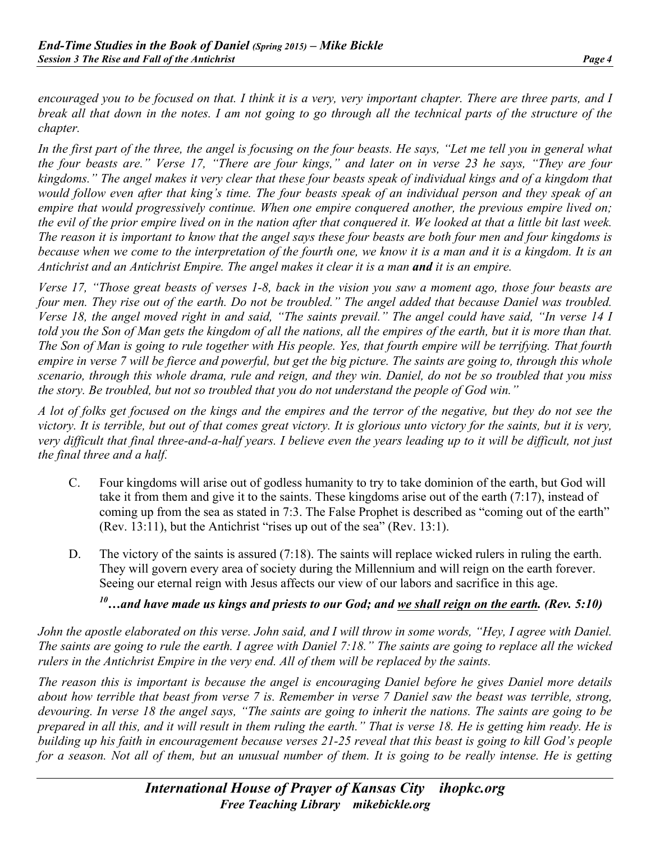*encouraged you to be focused on that. I think it is a very, very important chapter. There are three parts, and I break all that down in the notes. I am not going to go through all the technical parts of the structure of the chapter.*

In the first part of the three, the angel is focusing on the four beasts. He says, "Let me tell you in general what *the four beasts are." Verse 17, "There are four kings," and later on in verse 23 he says, "They are four kingdoms." The angel makes it very clear that these four beasts speak of individual kings and of a kingdom that would follow even after that king's time. The four beasts speak of an individual person and they speak of an empire that would progressively continue. When one empire conquered another, the previous empire lived on; the evil of the prior empire lived on in the nation after that conquered it. We looked at that a little bit last week. The reason it is important to know that the angel says these four beasts are both four men and four kingdoms is because when we come to the interpretation of the fourth one, we know it is a man and it is a kingdom. It is an Antichrist and an Antichrist Empire. The angel makes it clear it is a man and it is an empire.* 

*Verse 17, "Those great beasts of verses 1-8, back in the vision you saw a moment ago, those four beasts are four men. They rise out of the earth. Do not be troubled." The angel added that because Daniel was troubled. Verse 18, the angel moved right in and said, "The saints prevail." The angel could have said, "In verse 14 I told you the Son of Man gets the kingdom of all the nations, all the empires of the earth, but it is more than that. The Son of Man is going to rule together with His people. Yes, that fourth empire will be terrifying. That fourth empire in verse 7 will be fierce and powerful, but get the big picture. The saints are going to, through this whole scenario, through this whole drama, rule and reign, and they win. Daniel, do not be so troubled that you miss the story. Be troubled, but not so troubled that you do not understand the people of God win."* 

*A lot of folks get focused on the kings and the empires and the terror of the negative, but they do not see the victory. It is terrible, but out of that comes great victory. It is glorious unto victory for the saints, but it is very, very difficult that final three-and-a-half years. I believe even the years leading up to it will be difficult, not just the final three and a half.*

- C. Four kingdoms will arise out of godless humanity to try to take dominion of the earth, but God will take it from them and give it to the saints. These kingdoms arise out of the earth (7:17), instead of coming up from the sea as stated in 7:3. The False Prophet is described as "coming out of the earth" (Rev. 13:11), but the Antichrist "rises up out of the sea" (Rev. 13:1).
- D. The victory of the saints is assured (7:18). The saints will replace wicked rulers in ruling the earth. They will govern every area of society during the Millennium and will reign on the earth forever. Seeing our eternal reign with Jesus affects our view of our labors and sacrifice in this age.

### *10…and have made us kings and priests to our God; and we shall reign on the earth. (Rev. 5:10)*

*John the apostle elaborated on this verse. John said, and I will throw in some words, "Hey, I agree with Daniel. The saints are going to rule the earth. I agree with Daniel 7:18." The saints are going to replace all the wicked rulers in the Antichrist Empire in the very end. All of them will be replaced by the saints.*

*The reason this is important is because the angel is encouraging Daniel before he gives Daniel more details about how terrible that beast from verse 7 is. Remember in verse 7 Daniel saw the beast was terrible, strong, devouring. In verse 18 the angel says, "The saints are going to inherit the nations. The saints are going to be prepared in all this, and it will result in them ruling the earth." That is verse 18. He is getting him ready. He is building up his faith in encouragement because verses 21-25 reveal that this beast is going to kill God's people*  for a season. Not all of them, but an unusual number of them. It is going to be really intense. He is getting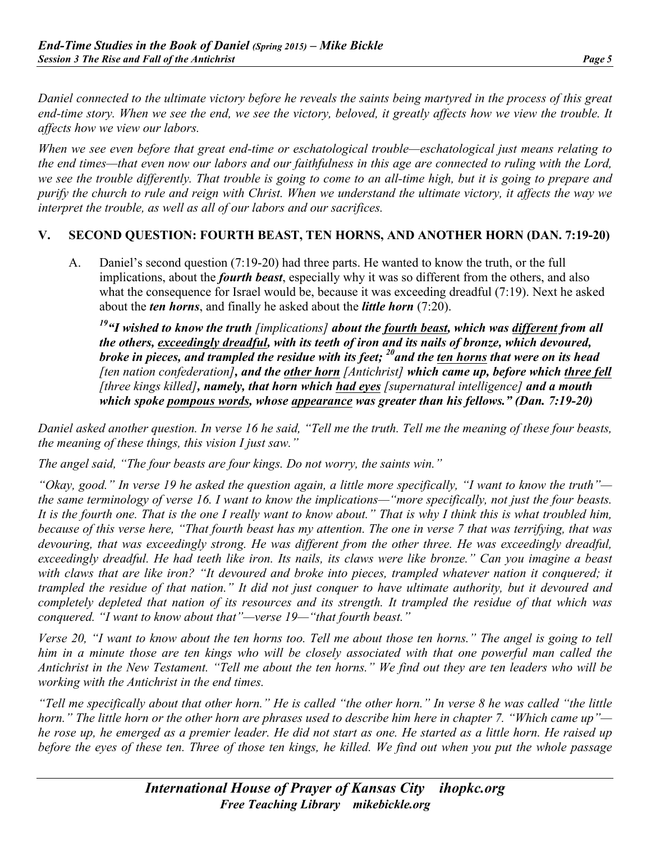*Daniel connected to the ultimate victory before he reveals the saints being martyred in the process of this great end-time story. When we see the end, we see the victory, beloved, it greatly affects how we view the trouble. It affects how we view our labors.* 

*When we see even before that great end-time or eschatological trouble—eschatological just means relating to the end times—that even now our labors and our faithfulness in this age are connected to ruling with the Lord, we see the trouble differently. That trouble is going to come to an all-time high, but it is going to prepare and purify the church to rule and reign with Christ. When we understand the ultimate victory, it affects the way we interpret the trouble, as well as all of our labors and our sacrifices.*

#### **V. SECOND QUESTION: FOURTH BEAST, TEN HORNS, AND ANOTHER HORN (DAN. 7:19-20)**

A. Daniel's second question (7:19-20) had three parts. He wanted to know the truth, or the full implications, about the *fourth beast*, especially why it was so different from the others, and also what the consequence for Israel would be, because it was exceeding dreadful (7:19). Next he asked about the *ten horns*, and finally he asked about the *little horn* (7:20).

*19"I wished to know the truth [implications] about the fourth beast, which was different from all the others, exceedingly dreadful, with its teeth of iron and its nails of bronze, which devoured, broke in pieces, and trampled the residue with its feet; 20and the ten horns that were on its head [ten nation confederation], and the other horn [Antichrist] which came up, before which three fell [three kings killed], namely, that horn which had eyes [supernatural intelligence] and a mouth which spoke pompous words, whose appearance was greater than his fellows." (Dan. 7:19-20)*

*Daniel asked another question. In verse 16 he said, "Tell me the truth. Tell me the meaning of these four beasts, the meaning of these things, this vision I just saw."* 

*The angel said, "The four beasts are four kings. Do not worry, the saints win."*

*"Okay, good." In verse 19 he asked the question again, a little more specifically, "I want to know the truth" the same terminology of verse 16. I want to know the implications—"more specifically, not just the four beasts. It is the fourth one. That is the one I really want to know about." That is why I think this is what troubled him, because of this verse here, "That fourth beast has my attention. The one in verse 7 that was terrifying, that was devouring, that was exceedingly strong. He was different from the other three. He was exceedingly dreadful, exceedingly dreadful. He had teeth like iron. Its nails, its claws were like bronze." Can you imagine a beast*  with claws that are like iron? "It devoured and broke into pieces, trampled whatever nation it conquered; it *trampled the residue of that nation." It did not just conquer to have ultimate authority, but it devoured and completely depleted that nation of its resources and its strength. It trampled the residue of that which was conquered. "I want to know about that"—verse 19—"that fourth beast."*

*Verse 20, "I want to know about the ten horns too. Tell me about those ten horns." The angel is going to tell him in a minute those are ten kings who will be closely associated with that one powerful man called the Antichrist in the New Testament. "Tell me about the ten horns." We find out they are ten leaders who will be working with the Antichrist in the end times.* 

*"Tell me specifically about that other horn." He is called "the other horn." In verse 8 he was called "the little horn." The little horn or the other horn are phrases used to describe him here in chapter 7. "Which came up" he rose up, he emerged as a premier leader. He did not start as one. He started as a little horn. He raised up before the eyes of these ten. Three of those ten kings, he killed. We find out when you put the whole passage*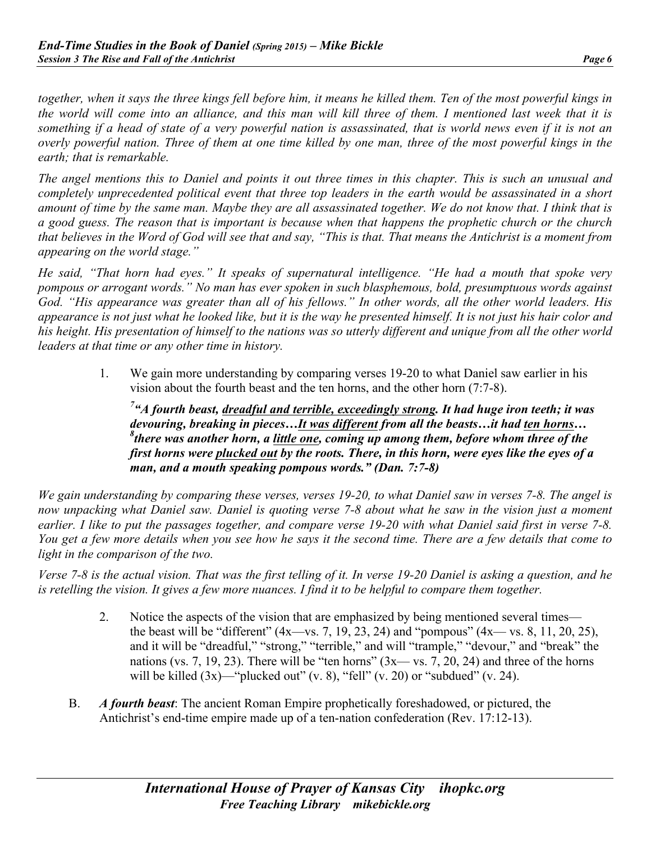*together, when it says the three kings fell before him, it means he killed them. Ten of the most powerful kings in the world will come into an alliance, and this man will kill three of them. I mentioned last week that it is*  something if a head of state of a very powerful nation is assassinated, that is world news even if it is not an *overly powerful nation. Three of them at one time killed by one man, three of the most powerful kings in the earth; that is remarkable.*

*The angel mentions this to Daniel and points it out three times in this chapter. This is such an unusual and completely unprecedented political event that three top leaders in the earth would be assassinated in a short amount of time by the same man. Maybe they are all assassinated together. We do not know that. I think that is a good guess. The reason that is important is because when that happens the prophetic church or the church that believes in the Word of God will see that and say, "This is that. That means the Antichrist is a moment from appearing on the world stage."*

*He said, "That horn had eyes." It speaks of supernatural intelligence. "He had a mouth that spoke very pompous or arrogant words." No man has ever spoken in such blasphemous, bold, presumptuous words against God. "His appearance was greater than all of his fellows." In other words, all the other world leaders. His appearance is not just what he looked like, but it is the way he presented himself. It is not just his hair color and his height. His presentation of himself to the nations was so utterly different and unique from all the other world leaders at that time or any other time in history.*

1. We gain more understanding by comparing verses 19-20 to what Daniel saw earlier in his vision about the fourth beast and the ten horns, and the other horn (7:7-8).

*7 "A fourth beast, dreadful and terrible, exceedingly strong. It had huge iron teeth; it was devouring, breaking in pieces…It was different from all the beasts…it had ten horns… 8 there was another horn, a little one, coming up among them, before whom three of the first horns were plucked out by the roots. There, in this horn, were eyes like the eyes of a man, and a mouth speaking pompous words." (Dan. 7:7-8)*

*We gain understanding by comparing these verses, verses 19-20, to what Daniel saw in verses 7-8. The angel is now unpacking what Daniel saw. Daniel is quoting verse 7-8 about what he saw in the vision just a moment earlier. I like to put the passages together, and compare verse 19-20 with what Daniel said first in verse 7-8. You get a few more details when you see how he says it the second time. There are a few details that come to light in the comparison of the two.* 

*Verse 7-8 is the actual vision. That was the first telling of it. In verse 19-20 Daniel is asking a question, and he is retelling the vision. It gives a few more nuances. I find it to be helpful to compare them together.*

- 2. Notice the aspects of the vision that are emphasized by being mentioned several times the beast will be "different"  $(4x$ —vs. 7, 19, 23, 24) and "pompous"  $(4x$ —vs. 8, 11, 20, 25), and it will be "dreadful," "strong," "terrible," and will "trample," "devour," and "break" the nations (vs. 7, 19, 23). There will be "ten horns"  $(3x - ys. 7, 20, 24)$  and three of the horns will be killed  $(3x)$ —"plucked out"  $(v, 8)$ , "fell"  $(v, 20)$  or "subdued"  $(v, 24)$ .
- B. *A fourth beast*: The ancient Roman Empire prophetically foreshadowed, or pictured, the Antichrist's end-time empire made up of a ten-nation confederation (Rev. 17:12-13).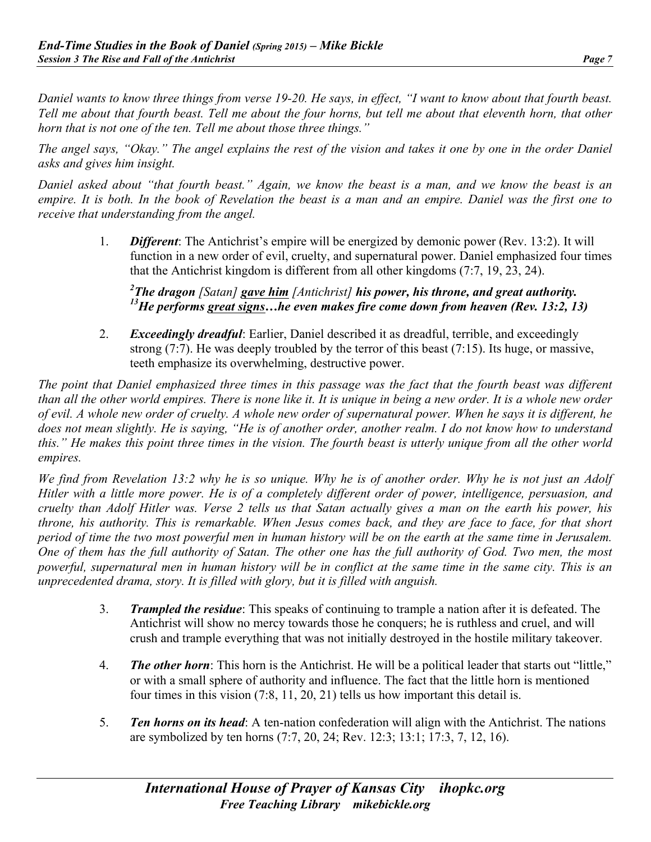*Daniel wants to know three things from verse 19-20. He says, in effect, "I want to know about that fourth beast. Tell me about that fourth beast. Tell me about the four horns, but tell me about that eleventh horn, that other horn that is not one of the ten. Tell me about those three things."* 

*The angel says, "Okay." The angel explains the rest of the vision and takes it one by one in the order Daniel asks and gives him insight.*

*Daniel asked about "that fourth beast." Again, we know the beast is a man, and we know the beast is an empire. It is both. In the book of Revelation the beast is a man and an empire. Daniel was the first one to receive that understanding from the angel.* 

> 1. *Different*: The Antichrist's empire will be energized by demonic power (Rev. 13:2). It will function in a new order of evil, cruelty, and supernatural power. Daniel emphasized four times that the Antichrist kingdom is different from all other kingdoms (7:7, 19, 23, 24).

*2 The dragon [Satan] gave him [Antichrist] his power, his throne, and great authority. 13He performs great signs…he even makes fire come down from heaven (Rev. 13:2, 13)*

2. *Exceedingly dreadful*: Earlier, Daniel described it as dreadful, terrible, and exceedingly strong (7:7). He was deeply troubled by the terror of this beast (7:15). Its huge, or massive, teeth emphasize its overwhelming, destructive power.

*The point that Daniel emphasized three times in this passage was the fact that the fourth beast was different*  than all the other world empires. There is none like it. It is unique in being a new order. It is a whole new order *of evil. A whole new order of cruelty. A whole new order of supernatural power. When he says it is different, he does not mean slightly. He is saying, "He is of another order, another realm. I do not know how to understand this." He makes this point three times in the vision. The fourth beast is utterly unique from all the other world empires.*

*We find from Revelation 13:2 why he is so unique. Why he is of another order. Why he is not just an Adolf Hitler with a little more power. He is of a completely different order of power, intelligence, persuasion, and cruelty than Adolf Hitler was. Verse 2 tells us that Satan actually gives a man on the earth his power, his throne, his authority. This is remarkable. When Jesus comes back, and they are face to face, for that short period of time the two most powerful men in human history will be on the earth at the same time in Jerusalem. One of them has the full authority of Satan. The other one has the full authority of God. Two men, the most powerful, supernatural men in human history will be in conflict at the same time in the same city. This is an unprecedented drama, story. It is filled with glory, but it is filled with anguish.*

- 3. *Trampled the residue*: This speaks of continuing to trample a nation after it is defeated. The Antichrist will show no mercy towards those he conquers; he is ruthless and cruel, and will crush and trample everything that was not initially destroyed in the hostile military takeover.
- 4. *The other horn*: This horn is the Antichrist. He will be a political leader that starts out "little," or with a small sphere of authority and influence. The fact that the little horn is mentioned four times in this vision (7:8, 11, 20, 21) tells us how important this detail is.
- 5. *Ten horns on its head*: A ten-nation confederation will align with the Antichrist. The nations are symbolized by ten horns (7:7, 20, 24; Rev. 12:3; 13:1; 17:3, 7, 12, 16).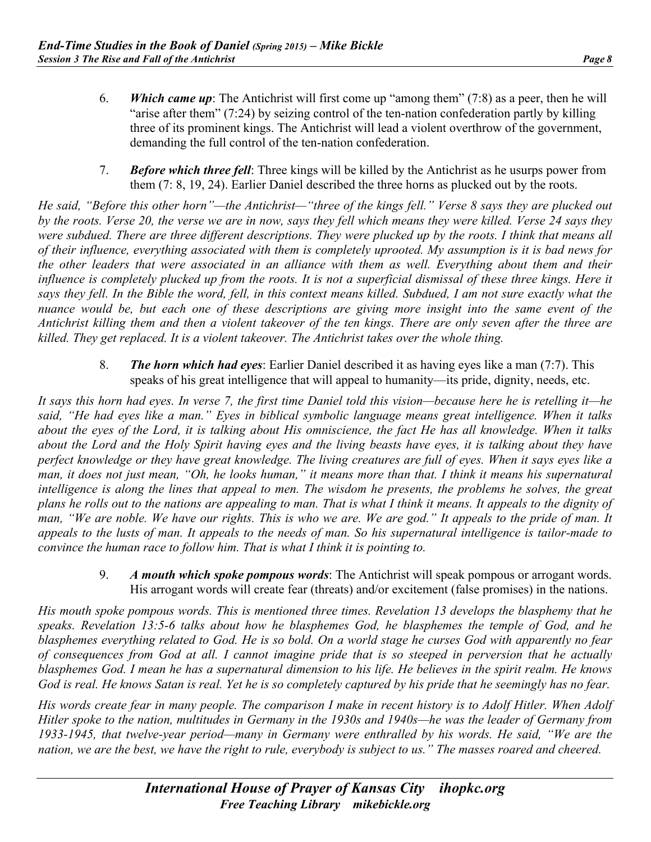- 6. *Which came up*: The Antichrist will first come up "among them" (7:8) as a peer, then he will "arise after them" (7:24) by seizing control of the ten-nation confederation partly by killing three of its prominent kings. The Antichrist will lead a violent overthrow of the government, demanding the full control of the ten-nation confederation.
- 7. *Before which three fell*: Three kings will be killed by the Antichrist as he usurps power from them (7: 8, 19, 24). Earlier Daniel described the three horns as plucked out by the roots.

*He said, "Before this other horn"—the Antichrist—"three of the kings fell." Verse 8 says they are plucked out by the roots. Verse 20, the verse we are in now, says they fell which means they were killed. Verse 24 says they were subdued. There are three different descriptions. They were plucked up by the roots. I think that means all of their influence, everything associated with them is completely uprooted. My assumption is it is bad news for the other leaders that were associated in an alliance with them as well. Everything about them and their*  influence is completely plucked up from the roots. It is not a superficial dismissal of these three kings. Here it *says they fell. In the Bible the word, fell, in this context means killed. Subdued, I am not sure exactly what the nuance would be, but each one of these descriptions are giving more insight into the same event of the Antichrist killing them and then a violent takeover of the ten kings. There are only seven after the three are killed. They get replaced. It is a violent takeover. The Antichrist takes over the whole thing.*

> 8. *The horn which had eyes*: Earlier Daniel described it as having eyes like a man (7:7). This speaks of his great intelligence that will appeal to humanity—its pride, dignity, needs, etc.

*It says this horn had eyes. In verse 7, the first time Daniel told this vision—because here he is retelling it—he said, "He had eyes like a man." Eyes in biblical symbolic language means great intelligence. When it talks about the eyes of the Lord, it is talking about His omniscience, the fact He has all knowledge. When it talks about the Lord and the Holy Spirit having eyes and the living beasts have eyes, it is talking about they have perfect knowledge or they have great knowledge. The living creatures are full of eyes. When it says eyes like a man, it does not just mean, "Oh, he looks human," it means more than that. I think it means his supernatural intelligence is along the lines that appeal to men. The wisdom he presents, the problems he solves, the great plans he rolls out to the nations are appealing to man. That is what I think it means. It appeals to the dignity of man, "We are noble. We have our rights. This is who we are. We are god." It appeals to the pride of man. It appeals to the lusts of man. It appeals to the needs of man. So his supernatural intelligence is tailor-made to convince the human race to follow him. That is what I think it is pointing to.*

> 9. *A mouth which spoke pompous words*: The Antichrist will speak pompous or arrogant words. His arrogant words will create fear (threats) and/or excitement (false promises) in the nations.

*His mouth spoke pompous words. This is mentioned three times. Revelation 13 develops the blasphemy that he speaks. Revelation 13:5-6 talks about how he blasphemes God, he blasphemes the temple of God, and he blasphemes everything related to God. He is so bold. On a world stage he curses God with apparently no fear of consequences from God at all. I cannot imagine pride that is so steeped in perversion that he actually blasphemes God. I mean he has a supernatural dimension to his life. He believes in the spirit realm. He knows God is real. He knows Satan is real. Yet he is so completely captured by his pride that he seemingly has no fear.*

*His words create fear in many people. The comparison I make in recent history is to Adolf Hitler. When Adolf Hitler spoke to the nation, multitudes in Germany in the 1930s and 1940s—he was the leader of Germany from 1933-1945, that twelve-year period—many in Germany were enthralled by his words. He said, "We are the nation, we are the best, we have the right to rule, everybody is subject to us." The masses roared and cheered.*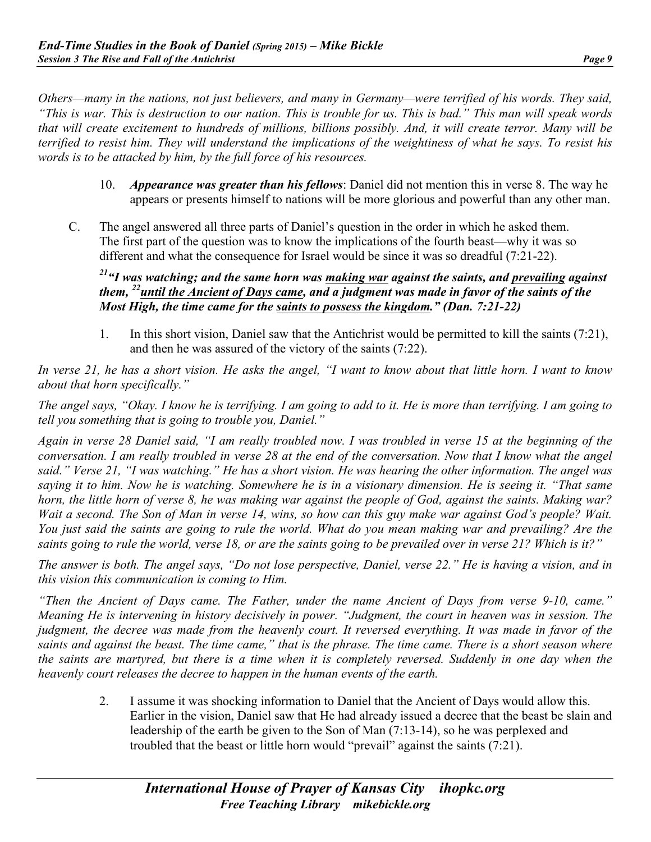*Others—many in the nations, not just believers, and many in Germany—were terrified of his words. They said, "This is war. This is destruction to our nation. This is trouble for us. This is bad." This man will speak words that will create excitement to hundreds of millions, billions possibly. And, it will create terror. Many will be terrified to resist him. They will understand the implications of the weightiness of what he says. To resist his words is to be attacked by him, by the full force of his resources.*

- 10. *Appearance was greater than his fellows*: Daniel did not mention this in verse 8. The way he appears or presents himself to nations will be more glorious and powerful than any other man.
- C. The angel answered all three parts of Daniel's question in the order in which he asked them. The first part of the question was to know the implications of the fourth beast—why it was so different and what the consequence for Israel would be since it was so dreadful (7:21-22).

*21"I was watching; and the same horn was making war against the saints, and prevailing against them, 22until the Ancient of Days came, and a judgment was made in favor of the saints of the Most High, the time came for the saints to possess the kingdom." (Dan. 7:21-22)*

1. In this short vision, Daniel saw that the Antichrist would be permitted to kill the saints (7:21), and then he was assured of the victory of the saints (7:22).

*In verse 21, he has a short vision. He asks the angel, "I want to know about that little horn. I want to know about that horn specifically."*

*The angel says, "Okay. I know he is terrifying. I am going to add to it. He is more than terrifying. I am going to tell you something that is going to trouble you, Daniel."*

*Again in verse 28 Daniel said, "I am really troubled now. I was troubled in verse 15 at the beginning of the conversation. I am really troubled in verse 28 at the end of the conversation. Now that I know what the angel said." Verse 21, "I was watching." He has a short vision. He was hearing the other information. The angel was saying it to him. Now he is watching. Somewhere he is in a visionary dimension. He is seeing it. "That same horn, the little horn of verse 8, he was making war against the people of God, against the saints. Making war? Wait a second. The Son of Man in verse 14, wins, so how can this guy make war against God's people? Wait. You just said the saints are going to rule the world. What do you mean making war and prevailing? Are the saints going to rule the world, verse 18, or are the saints going to be prevailed over in verse 21? Which is it?"*

*The answer is both. The angel says, "Do not lose perspective, Daniel, verse 22." He is having a vision, and in this vision this communication is coming to Him.*

*"Then the Ancient of Days came. The Father, under the name Ancient of Days from verse 9-10, came." Meaning He is intervening in history decisively in power. "Judgment, the court in heaven was in session. The judgment, the decree was made from the heavenly court. It reversed everything. It was made in favor of the saints and against the beast. The time came," that is the phrase. The time came. There is a short season where the saints are martyred, but there is a time when it is completely reversed. Suddenly in one day when the heavenly court releases the decree to happen in the human events of the earth.*

> 2. I assume it was shocking information to Daniel that the Ancient of Days would allow this. Earlier in the vision, Daniel saw that He had already issued a decree that the beast be slain and leadership of the earth be given to the Son of Man (7:13-14), so he was perplexed and troubled that the beast or little horn would "prevail" against the saints (7:21).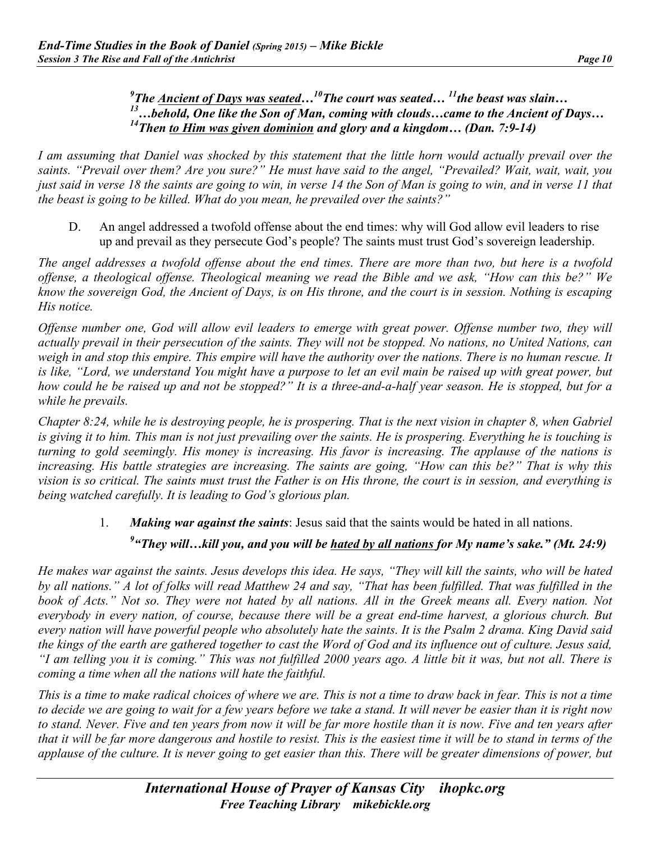#### <sup>9</sup> The <u>Ancient of Days was seated</u>...<sup>10</sup> The court was seated...<sup>11</sup> the beast was slain... *13…behold, One like the Son of Man, coming with clouds…came to the Ancient of Days… 14Then to Him was given dominion and glory and a kingdom… (Dan. 7:9-14)*

*I am assuming that Daniel was shocked by this statement that the little horn would actually prevail over the saints. "Prevail over them? Are you sure?" He must have said to the angel, "Prevailed? Wait, wait, wait, you just said in verse 18 the saints are going to win, in verse 14 the Son of Man is going to win, and in verse 11 that the beast is going to be killed. What do you mean, he prevailed over the saints?"* 

D. An angel addressed a twofold offense about the end times: why will God allow evil leaders to rise up and prevail as they persecute God's people? The saints must trust God's sovereign leadership.

*The angel addresses a twofold offense about the end times. There are more than two, but here is a twofold offense, a theological offense. Theological meaning we read the Bible and we ask, "How can this be?" We know the sovereign God, the Ancient of Days, is on His throne, and the court is in session. Nothing is escaping His notice.*

*Offense number one, God will allow evil leaders to emerge with great power. Offense number two, they will actually prevail in their persecution of the saints. They will not be stopped. No nations, no United Nations, can weigh in and stop this empire. This empire will have the authority over the nations. There is no human rescue. It is like, "Lord, we understand You might have a purpose to let an evil main be raised up with great power, but how could he be raised up and not be stopped?" It is a three-and-a-half year season. He is stopped, but for a while he prevails.*

*Chapter 8:24, while he is destroying people, he is prospering. That is the next vision in chapter 8, when Gabriel is giving it to him. This man is not just prevailing over the saints. He is prospering. Everything he is touching is turning to gold seemingly. His money is increasing. His favor is increasing. The applause of the nations is*  increasing. His battle strategies are increasing. The saints are going, "How can this be?" That is why this *vision is so critical. The saints must trust the Father is on His throne, the court is in session, and everything is being watched carefully. It is leading to God's glorious plan.*

## 1. *Making war against the saints*: Jesus said that the saints would be hated in all nations. *9 "They will…kill you, and you will be hated by all nations for My name's sake." (Mt. 24:9)*

*He makes war against the saints. Jesus develops this idea. He says, "They will kill the saints, who will be hated by all nations." A lot of folks will read Matthew 24 and say, "That has been fulfilled. That was fulfilled in the book of Acts." Not so. They were not hated by all nations. All in the Greek means all. Every nation. Not everybody in every nation, of course, because there will be a great end-time harvest, a glorious church. But every nation will have powerful people who absolutely hate the saints. It is the Psalm 2 drama. King David said the kings of the earth are gathered together to cast the Word of God and its influence out of culture. Jesus said, "I am telling you it is coming." This was not fulfilled 2000 years ago. A little bit it was, but not all. There is coming a time when all the nations will hate the faithful.*

*This is a time to make radical choices of where we are. This is not a time to draw back in fear. This is not a time to decide we are going to wait for a few years before we take a stand. It will never be easier than it is right now to stand. Never. Five and ten years from now it will be far more hostile than it is now. Five and ten years after that it will be far more dangerous and hostile to resist. This is the easiest time it will be to stand in terms of the applause of the culture. It is never going to get easier than this. There will be greater dimensions of power, but*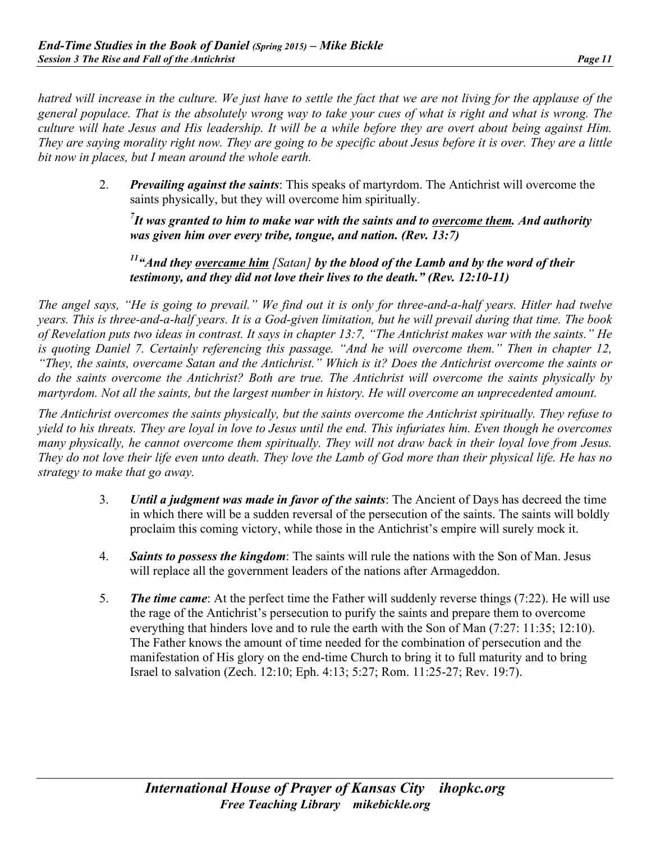*hatred will increase in the culture. We just have to settle the fact that we are not living for the applause of the general populace. That is the absolutely wrong way to take your cues of what is right and what is wrong. The culture will hate Jesus and His leadership. It will be a while before they are overt about being against Him. They are saying morality right now. They are going to be specific about Jesus before it is over. They are a little bit now in places, but I mean around the whole earth.*

> 2. *Prevailing against the saints*: This speaks of martyrdom. The Antichrist will overcome the saints physically, but they will overcome him spiritually.

*7 It was granted to him to make war with the saints and to overcome them. And authority was given him over every tribe, tongue, and nation. (Rev. 13:7)* 

*11"And they overcame him [Satan] by the blood of the Lamb and by the word of their testimony, and they did not love their lives to the death." (Rev. 12:10-11)*

*The angel says, "He is going to prevail." We find out it is only for three-and-a-half years. Hitler had twelve years. This is three-and-a-half years. It is a God-given limitation, but he will prevail during that time. The book of Revelation puts two ideas in contrast. It says in chapter 13:7, "The Antichrist makes war with the saints." He is quoting Daniel 7. Certainly referencing this passage. "And he will overcome them." Then in chapter 12, "They, the saints, overcame Satan and the Antichrist." Which is it? Does the Antichrist overcome the saints or do the saints overcome the Antichrist? Both are true. The Antichrist will overcome the saints physically by martyrdom. Not all the saints, but the largest number in history. He will overcome an unprecedented amount.* 

*The Antichrist overcomes the saints physically, but the saints overcome the Antichrist spiritually. They refuse to yield to his threats. They are loyal in love to Jesus until the end. This infuriates him. Even though he overcomes many physically, he cannot overcome them spiritually. They will not draw back in their loyal love from Jesus. They do not love their life even unto death. They love the Lamb of God more than their physical life. He has no strategy to make that go away.*

- 3. *Until a judgment was made in favor of the saints*: The Ancient of Days has decreed the time in which there will be a sudden reversal of the persecution of the saints. The saints will boldly proclaim this coming victory, while those in the Antichrist's empire will surely mock it.
- 4. *Saints to possess the kingdom*: The saints will rule the nations with the Son of Man. Jesus will replace all the government leaders of the nations after Armageddon.
- 5. *The time came*: At the perfect time the Father will suddenly reverse things (7:22). He will use the rage of the Antichrist's persecution to purify the saints and prepare them to overcome everything that hinders love and to rule the earth with the Son of Man (7:27: 11:35; 12:10). The Father knows the amount of time needed for the combination of persecution and the manifestation of His glory on the end-time Church to bring it to full maturity and to bring Israel to salvation (Zech. 12:10; Eph. 4:13; 5:27; Rom. 11:25-27; Rev. 19:7).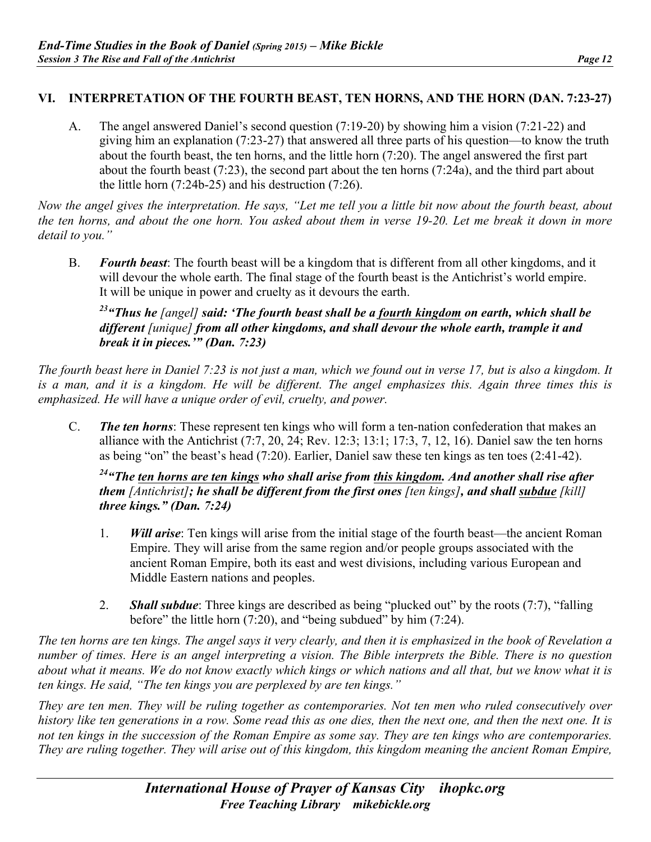#### **VI. INTERPRETATION OF THE FOURTH BEAST, TEN HORNS, AND THE HORN (DAN. 7:23-27)**

A. The angel answered Daniel's second question (7:19-20) by showing him a vision (7:21-22) and giving him an explanation (7:23-27) that answered all three parts of his question—to know the truth about the fourth beast, the ten horns, and the little horn (7:20). The angel answered the first part about the fourth beast (7:23), the second part about the ten horns (7:24a), and the third part about the little horn (7:24b-25) and his destruction (7:26).

*Now the angel gives the interpretation. He says, "Let me tell you a little bit now about the fourth beast, about the ten horns, and about the one horn. You asked about them in verse 19-20. Let me break it down in more detail to you."*

B. *Fourth beast*: The fourth beast will be a kingdom that is different from all other kingdoms, and it will devour the whole earth. The final stage of the fourth beast is the Antichrist's world empire. It will be unique in power and cruelty as it devours the earth.

#### *23"Thus he [angel] said: 'The fourth beast shall be a fourth kingdom on earth, which shall be different [unique] from all other kingdoms, and shall devour the whole earth, trample it and break it in pieces.'" (Dan. 7:23)*

*The fourth beast here in Daniel 7:23 is not just a man, which we found out in verse 17, but is also a kingdom. It is a man, and it is a kingdom. He will be different. The angel emphasizes this. Again three times this is emphasized. He will have a unique order of evil, cruelty, and power.*

C. *The ten horns*: These represent ten kings who will form a ten-nation confederation that makes an alliance with the Antichrist (7:7, 20, 24; Rev. 12:3; 13:1; 17:3, 7, 12, 16). Daniel saw the ten horns as being "on" the beast's head (7:20). Earlier, Daniel saw these ten kings as ten toes (2:41-42).

#### *24"The ten horns are ten kings who shall arise from this kingdom. And another shall rise after them [Antichrist]; he shall be different from the first ones [ten kings], and shall subdue [kill] three kings." (Dan. 7:24)*

- 1. *Will arise*: Ten kings will arise from the initial stage of the fourth beast—the ancient Roman Empire. They will arise from the same region and/or people groups associated with the ancient Roman Empire, both its east and west divisions, including various European and Middle Eastern nations and peoples.
- 2. *Shall subdue*: Three kings are described as being "plucked out" by the roots (7:7), "falling before" the little horn (7:20), and "being subdued" by him (7:24).

*The ten horns are ten kings. The angel says it very clearly, and then it is emphasized in the book of Revelation a number of times. Here is an angel interpreting a vision. The Bible interprets the Bible. There is no question about what it means. We do not know exactly which kings or which nations and all that, but we know what it is ten kings. He said, "The ten kings you are perplexed by are ten kings."*

*They are ten men. They will be ruling together as contemporaries. Not ten men who ruled consecutively over history like ten generations in a row. Some read this as one dies, then the next one, and then the next one. It is not ten kings in the succession of the Roman Empire as some say. They are ten kings who are contemporaries. They are ruling together. They will arise out of this kingdom, this kingdom meaning the ancient Roman Empire,*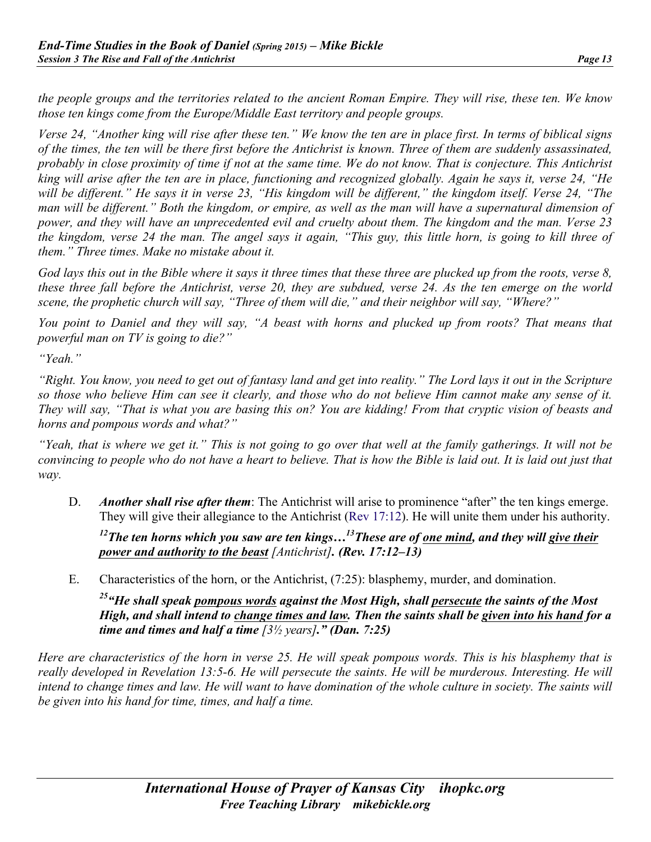*the people groups and the territories related to the ancient Roman Empire. They will rise, these ten. We know those ten kings come from the Europe/Middle East territory and people groups.*

*Verse 24, "Another king will rise after these ten." We know the ten are in place first. In terms of biblical signs of the times, the ten will be there first before the Antichrist is known. Three of them are suddenly assassinated, probably in close proximity of time if not at the same time. We do not know. That is conjecture. This Antichrist king will arise after the ten are in place, functioning and recognized globally. Again he says it, verse 24, "He will be different." He says it in verse 23, "His kingdom will be different," the kingdom itself. Verse 24, "The man will be different." Both the kingdom, or empire, as well as the man will have a supernatural dimension of power, and they will have an unprecedented evil and cruelty about them. The kingdom and the man. Verse 23 the kingdom, verse 24 the man. The angel says it again, "This guy, this little horn, is going to kill three of them." Three times. Make no mistake about it.*

*God lays this out in the Bible where it says it three times that these three are plucked up from the roots, verse 8, these three fall before the Antichrist, verse 20, they are subdued, verse 24. As the ten emerge on the world scene, the prophetic church will say, "Three of them will die," and their neighbor will say, "Where?"*

*You point to Daniel and they will say, "A beast with horns and plucked up from roots? That means that powerful man on TV is going to die?"*

*"Yeah."*

*"Right. You know, you need to get out of fantasy land and get into reality." The Lord lays it out in the Scripture so those who believe Him can see it clearly, and those who do not believe Him cannot make any sense of it. They will say, "That is what you are basing this on? You are kidding! From that cryptic vision of beasts and horns and pompous words and what?"*

*"Yeah, that is where we get it." This is not going to go over that well at the family gatherings. It will not be convincing to people who do not have a heart to believe. That is how the Bible is laid out. It is laid out just that way.*

D. *Another shall rise after them*: The Antichrist will arise to prominence "after" the ten kings emerge. They will give their allegiance to the Antichrist (Rev 17:12). He will unite them under his authority.

<sup>12</sup>The ten horns which you saw are ten kings...<sup>13</sup>These are of one mind, and they will give their *power and authority to the beast [Antichrist]. (Rev. 17:12–13)*

E. Characteristics of the horn, or the Antichrist, (7:25): blasphemy, murder, and domination.

*25"He shall speak pompous words against the Most High, shall persecute the saints of the Most High, and shall intend to change times and law. Then the saints shall be given into his hand for a time and times and half a time [3½ years]." (Dan. 7:25)*

*Here are characteristics of the horn in verse 25. He will speak pompous words. This is his blasphemy that is really developed in Revelation 13:5-6. He will persecute the saints. He will be murderous. Interesting. He will* intend to change times and law. He will want to have domination of the whole culture in society. The saints will *be given into his hand for time, times, and half a time.*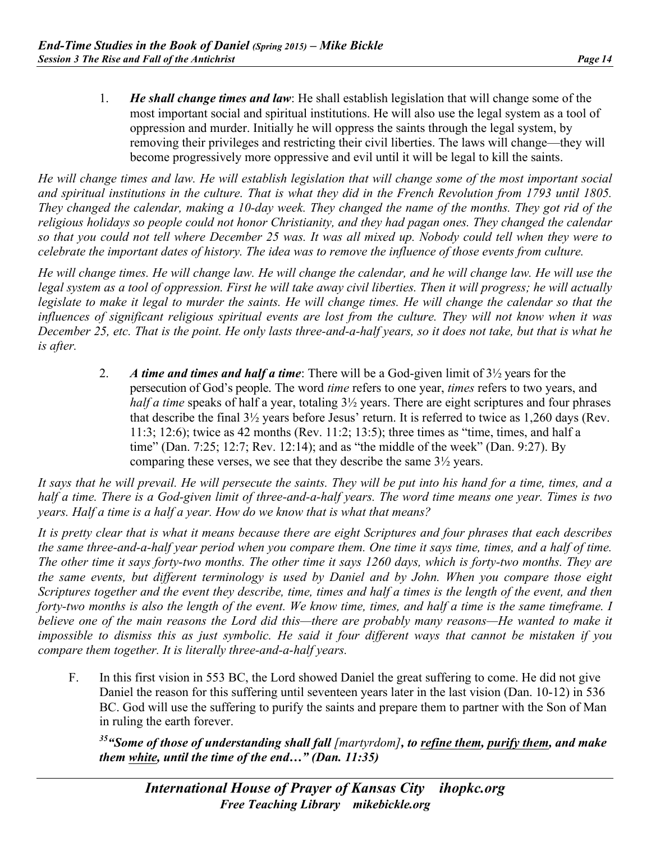1. *He shall change times and law*: He shall establish legislation that will change some of the most important social and spiritual institutions. He will also use the legal system as a tool of oppression and murder. Initially he will oppress the saints through the legal system, by removing their privileges and restricting their civil liberties. The laws will change—they will become progressively more oppressive and evil until it will be legal to kill the saints.

*He will change times and law. He will establish legislation that will change some of the most important social and spiritual institutions in the culture. That is what they did in the French Revolution from 1793 until 1805. They changed the calendar, making a 10-day week. They changed the name of the months. They got rid of the religious holidays so people could not honor Christianity, and they had pagan ones. They changed the calendar so that you could not tell where December 25 was. It was all mixed up. Nobody could tell when they were to celebrate the important dates of history. The idea was to remove the influence of those events from culture.*

*He will change times. He will change law. He will change the calendar, and he will change law. He will use the legal system as a tool of oppression. First he will take away civil liberties. Then it will progress; he will actually legislate to make it legal to murder the saints. He will change times. He will change the calendar so that the influences of significant religious spiritual events are lost from the culture. They will not know when it was December 25, etc. That is the point. He only lasts three-and-a-half years, so it does not take, but that is what he is after.*

> 2. *A time and times and half a time*: There will be a God-given limit of 3½ years for the persecution of God's people. The word *time* refers to one year, *times* refers to two years, and *half a time* speaks of half a year, totaling  $3\frac{1}{2}$  years. There are eight scriptures and four phrases that describe the final 3½ years before Jesus' return. It is referred to twice as 1,260 days (Rev. 11:3; 12:6); twice as 42 months (Rev. 11:2; 13:5); three times as "time, times, and half a time" (Dan. 7:25; 12:7; Rev. 12:14); and as "the middle of the week" (Dan. 9:27). By comparing these verses, we see that they describe the same 3½ years.

*It says that he will prevail. He will persecute the saints. They will be put into his hand for a time, times, and a half a time. There is a God-given limit of three-and-a-half years. The word time means one year. Times is two years. Half a time is a half a year. How do we know that is what that means?*

*It is pretty clear that is what it means because there are eight Scriptures and four phrases that each describes the same three-and-a-half year period when you compare them. One time it says time, times, and a half of time. The other time it says forty-two months. The other time it says 1260 days, which is forty-two months. They are the same events, but different terminology is used by Daniel and by John. When you compare those eight Scriptures together and the event they describe, time, times and half a times is the length of the event, and then*  forty-two months is also the length of the event. We know time, times, and half a time is the same timeframe. I *believe one of the main reasons the Lord did this—there are probably many reasons—He wanted to make it impossible to dismiss this as just symbolic. He said it four different ways that cannot be mistaken if you compare them together. It is literally three-and-a-half years.*

F. In this first vision in 553 BC, the Lord showed Daniel the great suffering to come. He did not give Daniel the reason for this suffering until seventeen years later in the last vision (Dan. 10-12) in 536 BC. God will use the suffering to purify the saints and prepare them to partner with the Son of Man in ruling the earth forever.

*35"Some of those of understanding shall fall [martyrdom], to refine them, purify them, and make them white, until the time of the end…" (Dan. 11:35)*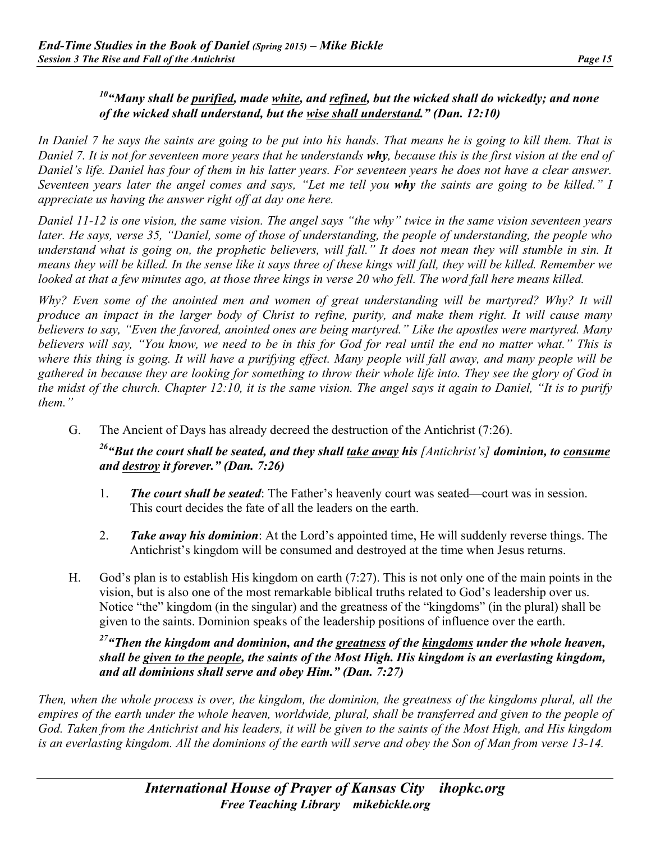#### *10"Many shall be purified, made white, and refined, but the wicked shall do wickedly; and none of the wicked shall understand, but the wise shall understand." (Dan. 12:10)*

*In Daniel 7 he says the saints are going to be put into his hands. That means he is going to kill them. That is Daniel 7. It is not for seventeen more years that he understands why, because this is the first vision at the end of Daniel's life. Daniel has four of them in his latter years. For seventeen years he does not have a clear answer. Seventeen years later the angel comes and says, "Let me tell you why the saints are going to be killed." I appreciate us having the answer right off at day one here.*

*Daniel 11-12 is one vision, the same vision. The angel says "the why" twice in the same vision seventeen years later. He says, verse 35, "Daniel, some of those of understanding, the people of understanding, the people who understand what is going on, the prophetic believers, will fall." It does not mean they will stumble in sin. It means they will be killed. In the sense like it says three of these kings will fall, they will be killed. Remember we looked at that a few minutes ago, at those three kings in verse 20 who fell. The word fall here means killed.*

*Why? Even some of the anointed men and women of great understanding will be martyred? Why? It will produce an impact in the larger body of Christ to refine, purity, and make them right. It will cause many believers to say, "Even the favored, anointed ones are being martyred." Like the apostles were martyred. Many believers will say, "You know, we need to be in this for God for real until the end no matter what." This is where this thing is going. It will have a purifying effect. Many people will fall away, and many people will be gathered in because they are looking for something to throw their whole life into. They see the glory of God in the midst of the church. Chapter 12:10, it is the same vision. The angel says it again to Daniel, "It is to purify them."*

G. The Ancient of Days has already decreed the destruction of the Antichrist (7:26).

#### *26"But the court shall be seated, and they shall take away his [Antichrist's] dominion, to consume and destroy it forever." (Dan. 7:26)*

- 1. *The court shall be seated*: The Father's heavenly court was seated—court was in session. This court decides the fate of all the leaders on the earth.
- 2. *Take away his dominion*: At the Lord's appointed time, He will suddenly reverse things. The Antichrist's kingdom will be consumed and destroyed at the time when Jesus returns.
- H. God's plan is to establish His kingdom on earth (7:27). This is not only one of the main points in the vision, but is also one of the most remarkable biblical truths related to God's leadership over us. Notice "the" kingdom (in the singular) and the greatness of the "kingdoms" (in the plural) shall be given to the saints. Dominion speaks of the leadership positions of influence over the earth.

#### *27"Then the kingdom and dominion, and the greatness of the kingdoms under the whole heaven, shall be given to the people, the saints of the Most High. His kingdom is an everlasting kingdom, and all dominions shall serve and obey Him." (Dan. 7:27)*

*Then, when the whole process is over, the kingdom, the dominion, the greatness of the kingdoms plural, all the empires of the earth under the whole heaven, worldwide, plural, shall be transferred and given to the people of God. Taken from the Antichrist and his leaders, it will be given to the saints of the Most High, and His kingdom is an everlasting kingdom. All the dominions of the earth will serve and obey the Son of Man from verse 13-14.*